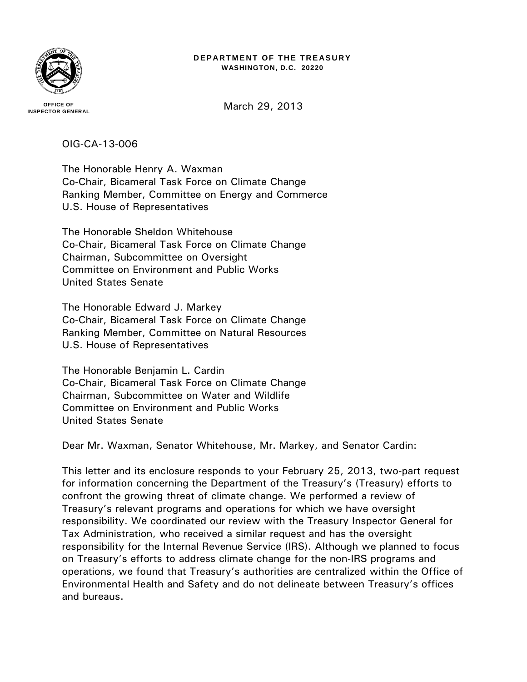

#### **DEPARTMENT OF THE TREASURY WASHINGTON, D.C. 20220**

**OFFICE OF INSPECTOR GENERAL** March 29, 2013

### OIG-CA-13-006

The Honorable Henry A. Waxman Co-Chair, Bicameral Task Force on Climate Change Ranking Member, Committee on Energy and Commerce U.S. House of Representatives

The Honorable Sheldon Whitehouse Co-Chair, Bicameral Task Force on Climate Change Chairman, Subcommittee on Oversight Committee on Environment and Public Works United States Senate

The Honorable Edward J. Markey Co-Chair, Bicameral Task Force on Climate Change Ranking Member, Committee on Natural Resources U.S. House of Representatives

The Honorable Benjamin L. Cardin Co-Chair, Bicameral Task Force on Climate Change Chairman, Subcommittee on Water and Wildlife Committee on Environment and Public Works United States Senate

Dear Mr. Waxman, Senator Whitehouse, Mr. Markey, and Senator Cardin:

This letter and its enclosure responds to your February 25, 2013, two-part request for information concerning the Department of the Treasury's (Treasury) efforts to confront the growing threat of climate change. We performed a review of Treasury's relevant programs and operations for which we have oversight responsibility. We coordinated our review with the Treasury Inspector General for Tax Administration, who received a similar request and has the oversight responsibility for the Internal Revenue Service (IRS). Although we planned to focus on Treasury's efforts to address climate change for the non-IRS programs and operations, we found that Treasury's authorities are centralized within the Office of Environmental Health and Safety and do not delineate between Treasury's offices and bureaus.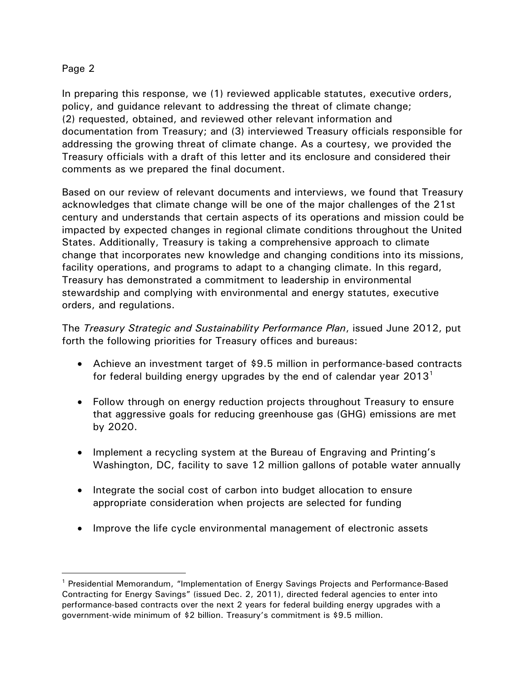# Page 2

 $\overline{a}$ 

In preparing this response, we (1) reviewed applicable statutes, executive orders, policy, and guidance relevant to addressing the threat of climate change; (2) requested, obtained, and reviewed other relevant information and documentation from Treasury; and (3) interviewed Treasury officials responsible for addressing the growing threat of climate change. As a courtesy, we provided the Treasury officials with a draft of this letter and its enclosure and considered their comments as we prepared the final document.

Based on our review of relevant documents and interviews, we found that Treasury acknowledges that climate change will be one of the major challenges of the 21st century and understands that certain aspects of its operations and mission could be impacted by expected changes in regional climate conditions throughout the United States. Additionally, Treasury is taking a comprehensive approach to climate change that incorporates new knowledge and changing conditions into its missions, facility operations, and programs to adapt to a changing climate. In this regard, Treasury has demonstrated a commitment to leadership in environmental stewardship and complying with environmental and energy statutes, executive orders, and regulations.

The *Treasury Strategic and Sustainability Performance Plan*, issued June 2012, put forth the following priorities for Treasury offices and bureaus:

- Achieve an investment target of \$9.5 million in performance-based contracts for federal building energy upgrades by the end of calendar year  $2013<sup>1</sup>$  $2013<sup>1</sup>$  $2013<sup>1</sup>$
- Follow through on energy reduction projects throughout Treasury to ensure that aggressive goals for reducing greenhouse gas (GHG) emissions are met by 2020.
- Implement a recycling system at the Bureau of Engraving and Printing's Washington, DC, facility to save 12 million gallons of potable water annually
- Integrate the social cost of carbon into budget allocation to ensure appropriate consideration when projects are selected for funding
- Improve the life cycle environmental management of electronic assets

<span id="page-1-0"></span><sup>&</sup>lt;sup>1</sup> Presidential Memorandum, "Implementation of Energy Savings Projects and Performance-Based Contracting for Energy Savings" (issued Dec. 2, 2011), directed federal agencies to enter into performance-based contracts over the next 2 years for federal building energy upgrades with a government-wide minimum of \$2 billion. Treasury's commitment is \$9.5 million.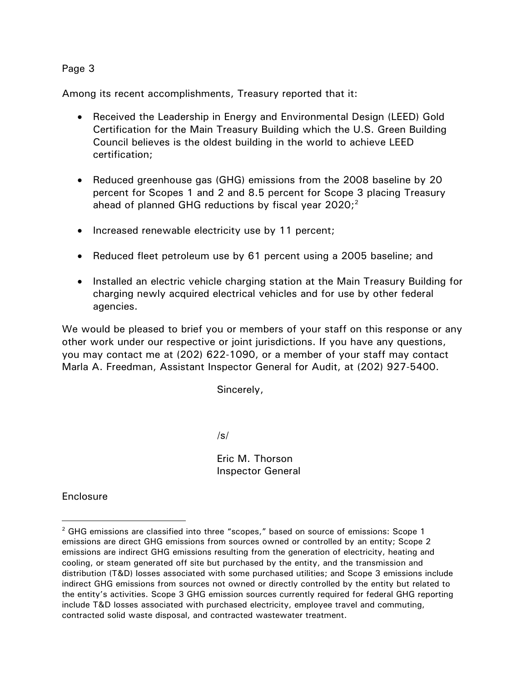### Page 3

Among its recent accomplishments, Treasury reported that it:

- Received the Leadership in Energy and Environmental Design (LEED) Gold Certification for the Main Treasury Building which the U.S. Green Building Council believes is the oldest building in the world to achieve LEED certification;
- Reduced greenhouse gas (GHG) emissions from the 2008 baseline by 20 percent for Scopes 1 and 2 and 8.5 percent for Scope 3 placing Treasury ahead of planned GHG reductions by fiscal year [2](#page-2-0)020;<sup>2</sup>
- Increased renewable electricity use by 11 percent;
- Reduced fleet petroleum use by 61 percent using a 2005 baseline; and
- Installed an electric vehicle charging station at the Main Treasury Building for charging newly acquired electrical vehicles and for use by other federal agencies.

We would be pleased to brief you or members of your staff on this response or any other work under our respective or joint jurisdictions. If you have any questions, you may contact me at (202) 622-1090, or a member of your staff may contact Marla A. Freedman, Assistant Inspector General for Audit, at (202) 927-5400.

Sincerely,

/s/

Eric M. Thorson Inspector General

**Enclosure** 

 $\overline{a}$ 

<span id="page-2-0"></span><sup>&</sup>lt;sup>2</sup> GHG emissions are classified into three "scopes," based on source of emissions: Scope 1 emissions are direct GHG emissions from sources owned or controlled by an entity; Scope 2 emissions are indirect GHG emissions resulting from the generation of electricity, heating and cooling, or steam generated off site but purchased by the entity, and the transmission and distribution (T&D) losses associated with some purchased utilities; and Scope 3 emissions include indirect GHG emissions from sources not owned or directly controlled by the entity but related to the entity's activities. Scope 3 GHG emission sources currently required for federal GHG reporting include T&D losses associated with purchased electricity, employee travel and commuting, contracted solid waste disposal, and contracted wastewater treatment.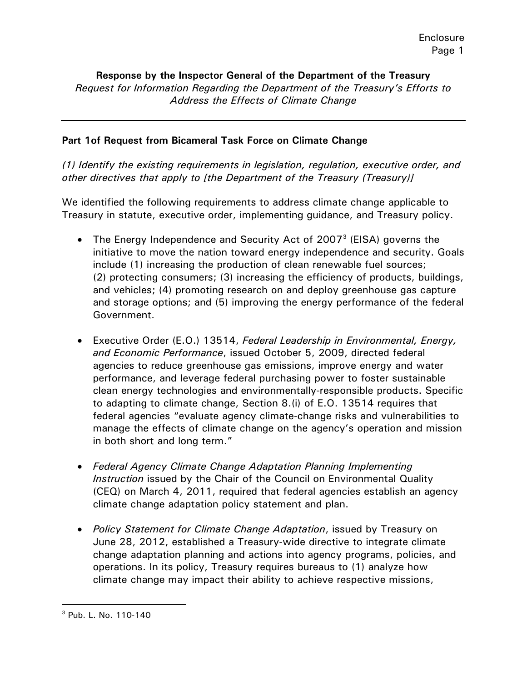**Response by the Inspector General of the Department of the Treasury** *Request for Information Regarding the Department of the Treasury's Efforts to Address the Effects of Climate Change*

### **Part 1of Request from Bicameral Task Force on Climate Change**

*(1) Identify the existing requirements in legislation, regulation, executive order, and other directives that apply to [the Department of the Treasury (Treasury)]*

We identified the following requirements to address climate change applicable to Treasury in statute, executive order, implementing guidance, and Treasury policy.

- The Energy Independence and Security Act of 2007 $3$  (EISA) governs the initiative to move the nation toward energy independence and security. Goals include (1) increasing the production of clean renewable fuel sources; (2) protecting consumers; (3) increasing the efficiency of products, buildings, and vehicles; (4) promoting research on and deploy greenhouse gas capture and storage options; and (5) improving the energy performance of the federal Government.
- Executive Order (E.O.) 13514, *Federal Leadership in Environmental, Energy, and Economic Performance*, issued October 5, 2009, directed federal agencies to reduce greenhouse gas emissions, improve energy and water performance, and leverage federal purchasing power to foster sustainable clean energy technologies and environmentally-responsible products. Specific to adapting to climate change, Section 8.(i) of E.O. 13514 requires that federal agencies "evaluate agency climate-change risks and vulnerabilities to manage the effects of climate change on the agency's operation and mission in both short and long term."
- *Federal Agency Climate Change Adaptation Planning Implementing Instruction* issued by the Chair of the Council on Environmental Quality (CEQ) on March 4, 2011, required that federal agencies establish an agency climate change adaptation policy statement and plan.
- *Policy Statement for Climate Change Adaptation*, issued by Treasury on June 28, 2012, established a Treasury-wide directive to integrate climate change adaptation planning and actions into agency programs, policies, and operations. In its policy, Treasury requires bureaus to (1) analyze how climate change may impact their ability to achieve respective missions,

 $\overline{a}$ 

<span id="page-3-0"></span><sup>3</sup> Pub. L. No. 110-140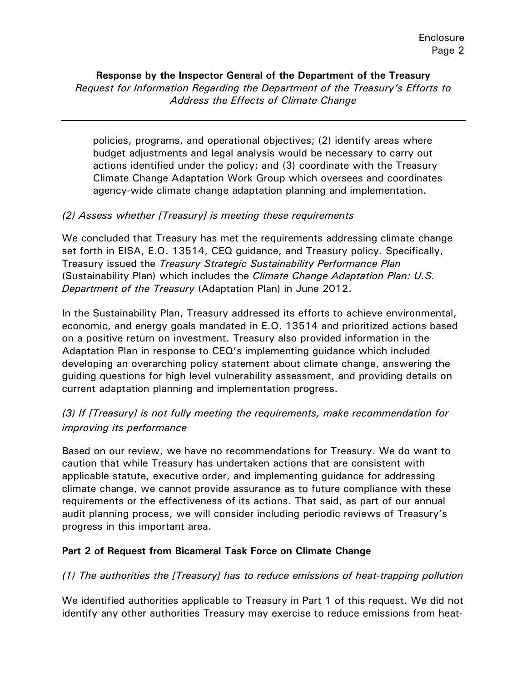**Response by the Inspector General of the Department of the Treasury** *Request for Information Regarding the Department of the Treasury's Efforts to Address the Effects of Climate Change*

policies, programs, and operational objectives; (2) identify areas where budget adjustments and legal analysis would be necessary to carry out actions identified under the policy; and (3) coordinate with the Treasury Climate Change Adaptation Work Group which oversees and coordinates agency-wide climate change adaptation planning and implementation.

### *(2) Assess whether [Treasury] is meeting these requirements*

We concluded that Treasury has met the requirements addressing climate change set forth in EISA, E.O. 13514, CEQ guidance, and Treasury policy. Specifically, Treasury issued the *Treasury Strategic Sustainability Performance Plan* (Sustainability Plan) which includes the *Climate Change Adaptation Plan: U.S. Department of the Treasury* (Adaptation Plan) in June 2012.

In the Sustainability Plan, Treasury addressed its efforts to achieve environmental, economic, and energy goals mandated in E.O. 13514 and prioritized actions based on a positive return on investment. Treasury also provided information in the Adaptation Plan in response to CEQ's implementing guidance which included developing an overarching policy statement about climate change, answering the guiding questions for high level vulnerability assessment, and providing details on current adaptation planning and implementation progress.

# *(3) If [Treasury] is not fully meeting the requirements, make recommendation for improving its performance*

Based on our review, we have no recommendations for Treasury. We do want to caution that while Treasury has undertaken actions that are consistent with applicable statute, executive order, and implementing guidance for addressing climate change, we cannot provide assurance as to future compliance with these requirements or the effectiveness of its actions. That said, as part of our annual audit planning process, we will consider including periodic reviews of Treasury's progress in this important area.

### **Part 2 of Request from Bicameral Task Force on Climate Change**

### *(1) The authorities the [Treasury] has to reduce emissions of heat-trapping pollution*

We identified authorities applicable to Treasury in Part 1 of this request. We did not identify any other authorities Treasury may exercise to reduce emissions from heat-